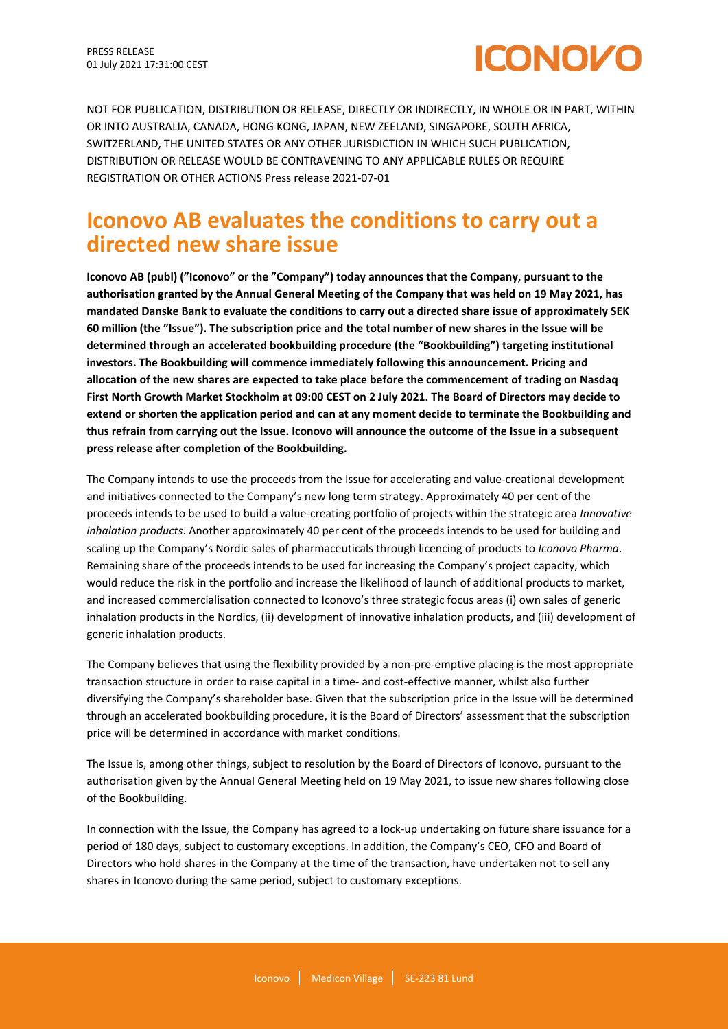

NOT FOR PUBLICATION, DISTRIBUTION OR RELEASE, DIRECTLY OR INDIRECTLY, IN WHOLE OR IN PART, WITHIN OR INTO AUSTRALIA, CANADA, HONG KONG, JAPAN, NEW ZEELAND, SINGAPORE, SOUTH AFRICA, SWITZERLAND, THE UNITED STATES OR ANY OTHER JURISDICTION IN WHICH SUCH PUBLICATION, DISTRIBUTION OR RELEASE WOULD BE CONTRAVENING TO ANY APPLICABLE RULES OR REQUIRE REGISTRATION OR OTHER ACTIONS Press release 2021-07-01

# **Iconovo AB evaluates the conditions to carry out a directed new share issue**

**Iconovo AB (publ) ("Iconovo" or the "Company") today announces that the Company, pursuant to the authorisation granted by the Annual General Meeting of the Company that was held on 19 May 2021, has mandated Danske Bank to evaluate the conditions to carry out a directed share issue of approximately SEK 60 million (the "Issue"). The subscription price and the total number of new shares in the Issue will be determined through an accelerated bookbuilding procedure (the "Bookbuilding") targeting institutional investors. The Bookbuilding will commence immediately following this announcement. Pricing and allocation of the new shares are expected to take place before the commencement of trading on Nasdaq First North Growth Market Stockholm at 09:00 CEST on 2 July 2021. The Board of Directors may decide to extend or shorten the application period and can at any moment decide to terminate the Bookbuilding and thus refrain from carrying out the Issue. Iconovo will announce the outcome of the Issue in a subsequent press release after completion of the Bookbuilding.**

The Company intends to use the proceeds from the Issue for accelerating and value-creational development and initiatives connected to the Company's new long term strategy. Approximately 40 per cent of the proceeds intends to be used to build a value-creating portfolio of projects within the strategic area *Innovative inhalation products*. Another approximately 40 per cent of the proceeds intends to be used for building and scaling up the Company's Nordic sales of pharmaceuticals through licencing of products to *Iconovo Pharma*. Remaining share of the proceeds intends to be used for increasing the Company's project capacity, which would reduce the risk in the portfolio and increase the likelihood of launch of additional products to market, and increased commercialisation connected to Iconovo's three strategic focus areas (i) own sales of generic inhalation products in the Nordics, (ii) development of innovative inhalation products, and (iii) development of generic inhalation products.

The Company believes that using the flexibility provided by a non-pre-emptive placing is the most appropriate transaction structure in order to raise capital in a time- and cost-effective manner, whilst also further diversifying the Company's shareholder base. Given that the subscription price in the Issue will be determined through an accelerated bookbuilding procedure, it is the Board of Directors' assessment that the subscription price will be determined in accordance with market conditions.

The Issue is, among other things, subject to resolution by the Board of Directors of Iconovo, pursuant to the authorisation given by the Annual General Meeting held on 19 May 2021, to issue new shares following close of the Bookbuilding.

In connection with the Issue, the Company has agreed to a lock-up undertaking on future share issuance for a period of 180 days, subject to customary exceptions. In addition, the Company's CEO, CFO and Board of Directors who hold shares in the Company at the time of the transaction, have undertaken not to sell any shares in Iconovo during the same period, subject to customary exceptions.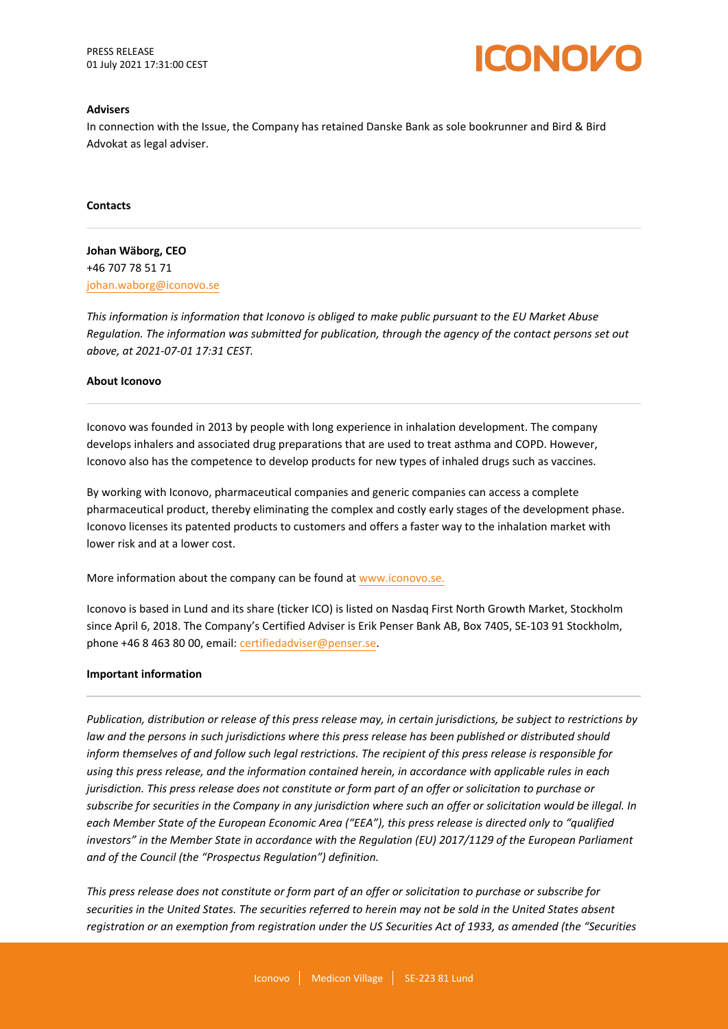PRESS RELEASE 01 July 2021 17:31:00 CEST



#### **Advisers**

In connection with the Issue, the Company has retained Danske Bank as sole bookrunner and Bird & Bird Advokat as legal adviser.

**Contacts**

**Johan Wäborg, CEO** +46 707 78 51 71 johan.waborg@iconovo.se

*This information is information that Iconovo is obliged to make public pursuant to the EU Market Abuse Regulation. The information was submitted for publication, through the agency of the contact persons set out above, at 2021-07-01 17:31 CEST.*

#### **About Iconovo**

Iconovo was founded in 2013 by people with long experience in inhalation development. The company develops inhalers and associated drug preparations that are used to treat asthma and COPD. However, Iconovo also has the competence to develop products for new types of inhaled drugs such as vaccines.

By working with Iconovo, pharmaceutical companies and generic companies can access a complete pharmaceutical product, thereby eliminating the complex and costly early stages of the development phase. Iconovo licenses its patented products to customers and offers a faster way to the inhalation market with lower risk and at a lower cost.

More information about the company can be found at [www.iconovo.se](https://www.iconovo.se.)[.](http://www.iconovo.se.)

Iconovo is based in Lund and its share (ticker ICO) is listed on Nasdaq First North Growth Market, Stockholm since April 6, 2018. The Company's Certified Adviser is Erik Penser Bank AB, Box 7405, SE-103 91 Stockholm, phone +46 8 463 80 00, email: certifiedadviser@penser.se.

#### **Important information**

*Publication, distribution or release of this press release may, in certain jurisdictions, be subject to restrictions by law and the persons in such jurisdictions where this press release has been published or distributed should inform themselves of and follow such legal restrictions. The recipient of this press release is responsible for using this press release, and the information contained herein, in accordance with applicable rules in each jurisdiction. This press release does not constitute or form part of an offer or solicitation to purchase or subscribe for securities in the Company in any jurisdiction where such an offer or solicitation would be illegal. In each Member State of the European Economic Area ("EEA"), this press release is directed only to "qualified investors" in the Member State in accordance with the Regulation (EU) 2017/1129 of the European Parliament and of the Council (the "Prospectus Regulation") definition.*

*This press release does not constitute or form part of an offer or solicitation to purchase or subscribe for securities in the United States. The securities referred to herein may not be sold in the United States absent registration or an exemption from registration under the US Securities Act of 1933, as amended (the "Securities*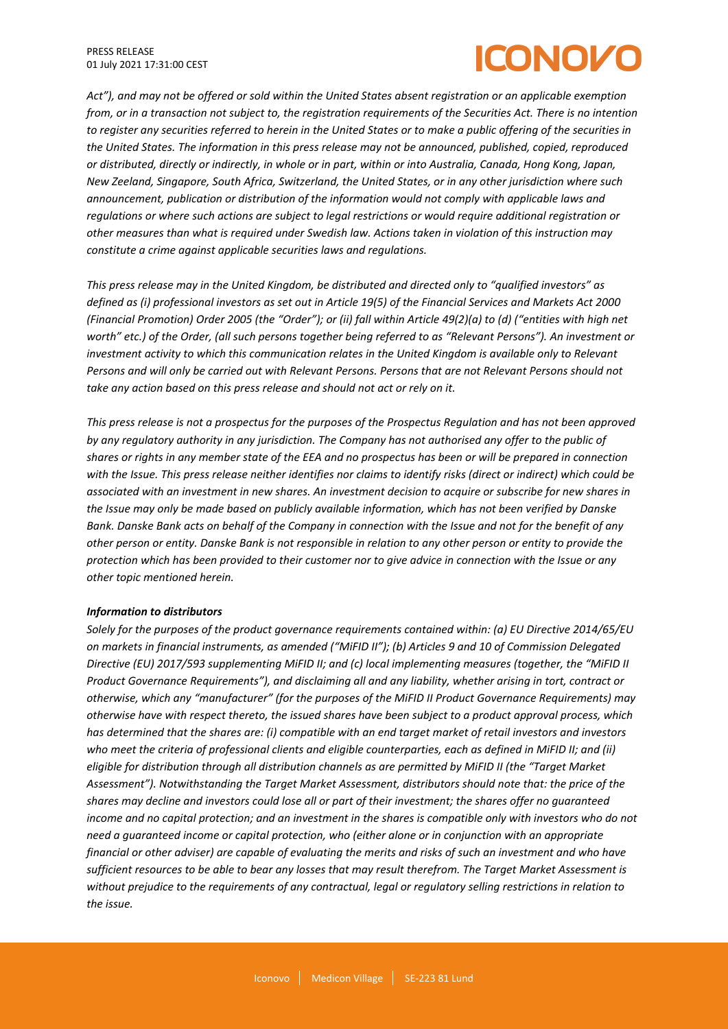# CONOZ

*Act"), and may not be offered or sold within the United States absent registration or an applicable exemption from, or in a transaction not subject to, the registration requirements of the Securities Act. There is no intention to register any securities referred to herein in the United States or to make a public offering of the securities in the United States. The information in this press release may not be announced, published, copied, reproduced or distributed, directly or indirectly, in whole or in part, within or into Australia, Canada, Hong Kong, Japan, New Zeeland, Singapore, South Africa, Switzerland, the United States, or in any other jurisdiction where such announcement, publication or distribution of the information would not comply with applicable laws and regulations or where such actions are subject to legal restrictions or would require additional registration or other measures than what is required under Swedish law. Actions taken in violation of this instruction may constitute a crime against applicable securities laws and regulations.*

*This press release may in the United Kingdom, be distributed and directed only to "qualified investors" as defined as (i) professional investors as set out in Article 19(5) of the Financial Services and Markets Act 2000 (Financial Promotion) Order 2005 (the "Order"); or (ii) fall within Article 49(2)(a) to (d) ("entities with high net worth" etc.) of the Order, (all such persons together being referred to as "Relevant Persons"). An investment or investment activity to which this communication relates in the United Kingdom is available only to Relevant Persons and will only be carried out with Relevant Persons. Persons that are not Relevant Persons should not take any action based on this press release and should not act or rely on it.*

*This press release is not a prospectus for the purposes of the Prospectus Regulation and has not been approved by any regulatory authority in any jurisdiction. The Company has not authorised any offer to the public of shares or rights in any member state of the EEA and no prospectus has been or will be prepared in connection with the Issue. This press release neither identifies nor claims to identify risks (direct or indirect) which could be associated with an investment in new shares. An investment decision to acquire or subscribe for new shares in the Issue may only be made based on publicly available information, which has not been verified by Danske Bank. Danske Bank acts on behalf of the Company in connection with the Issue and not for the benefit of any other person or entity. Danske Bank is not responsible in relation to any other person or entity to provide the protection which has been provided to their customer nor to give advice in connection with the Issue or any other topic mentioned herein.*

## *Information to distributors*

*Solely for the purposes of the product governance requirements contained within: (a) EU Directive 2014/65/EU on markets in financial instruments, as amended ("MiFID II"); (b) Articles 9 and 10 of Commission Delegated Directive (EU) 2017/593 supplementing MiFID II; and (c) local implementing measures (together, the "MiFID II Product Governance Requirements"), and disclaiming all and any liability, whether arising in tort, contract or otherwise, which any "manufacturer" (for the purposes of the MiFID II Product Governance Requirements) may otherwise have with respect thereto, the issued shares have been subject to a product approval process, which has determined that the shares are: (i) compatible with an end target market of retail investors and investors who meet the criteria of professional clients and eligible counterparties, each as defined in MiFID II; and (ii) eligible for distribution through all distribution channels as are permitted by MiFID II (the "Target Market Assessment"). Notwithstanding the Target Market Assessment, distributors should note that: the price of the shares may decline and investors could lose all or part of their investment; the shares offer no guaranteed income and no capital protection; and an investment in the shares is compatible only with investors who do not need a guaranteed income or capital protection, who (either alone or in conjunction with an appropriate financial or other adviser) are capable of evaluating the merits and risks of such an investment and who have sufficient resources to be able to bear any losses that may result therefrom. The Target Market Assessment is without prejudice to the requirements of any contractual, legal or regulatory selling restrictions in relation to the issue.*